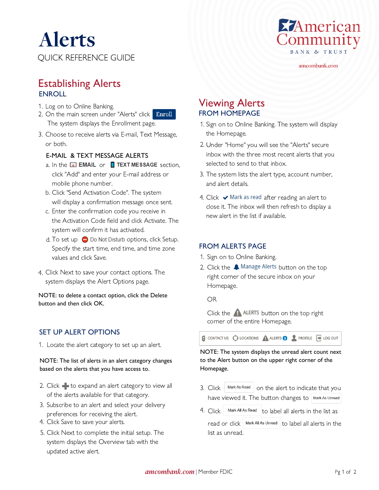QUICK REFERENCE GUIDE Alerts



amcombank.com

# **ENROLL** Establishing Alerts

- 1. Log on to Online Banking.
- Enroll 2. On the main screen under "Alerts" click The system displays the Enrollment page.
- 3. Choose to receive alerts via E-mail, Text Message, or both.

#### E-MAIL & TEXT MESSAGE ALERTS

- a. In the **EXAIL** or **EXT MESSAGE** section, click "Add" and enter your E-mail address or mobile phone number.
- Click "Send Activation Code". The system b. will display a confirmation message once sent.
- c. Enter the confirmation code you receive in the Activation Code field and click Activate. The system will confirm it has activated.
- d. To set up  $\bigcirc$  Do Not Disturb options, click Setup. Specify the start time, end time, and time zone values and click Save.
- Click Next to save your contact options. The 4. system displays the Alert Options page.

NOTE: to delete a contact option, click the Delete button and then click OK.

#### SET UP ALERT OPTIONS

1. Locate the alert category to set up an alert.

#### NOTE: The list of alerts in an alert category changes based on the alerts that you have access to.

- 2. Click  $\blacktriangleright$  to expand an alert category to view all of the alerts available for that category.
- 3. Subscribe to an alert and select your delivery preferences for receiving the alert.
- 4. Click Save to save your alerts.
- 5. Click Next to complete the initial setup. The system displays the Overview tab with the updated active alert.

# Viewing Alerts FROM HOMEPAGE

- 1. Sign on to Online Banking. The system will display the Homepage.
- Under "Home" you will see the "Alerts" secure 2. inbox with the three most recent alerts that you selected to send to that inbox.
- 3. The system lists the alert type, account number, and alert details.
- 4. Click  $\blacktriangleright$  Mark as read  $_{\text{after}}$  reading an alert to close it. The inbox will then refresh to display a new alert in the list if available.

#### FROM ALERTS PAGE

- 1. Sign on to Online Banking.
- 2. Click the **A** Manage Alerts button on the top right corner of the secure inbox on your Homepage.

OR

Click the  $\bigtriangleup$  ALERTS button on the top right corner of the entire Homepage.

CONTACT US C LOCATIONS A ALERTS **B** PROFILE **F** LOG OUT

NOTE: The system displays the unread alert count next to the Alert button on the upper right corner of the Homepage.

- 3. Click  $\lfloor \frac{\text{Mark As Read}}{\text{On the alert to indicate that you} \rfloor$ have viewed it. The button changes to Mark As Unread
- 4. Click  $\vert$  Mark All As Read  $\vert$  to label all alerts in the list as read or click  $\vert$  Mark All As Unread  $\vert$  to label all alerts in the list as unread.